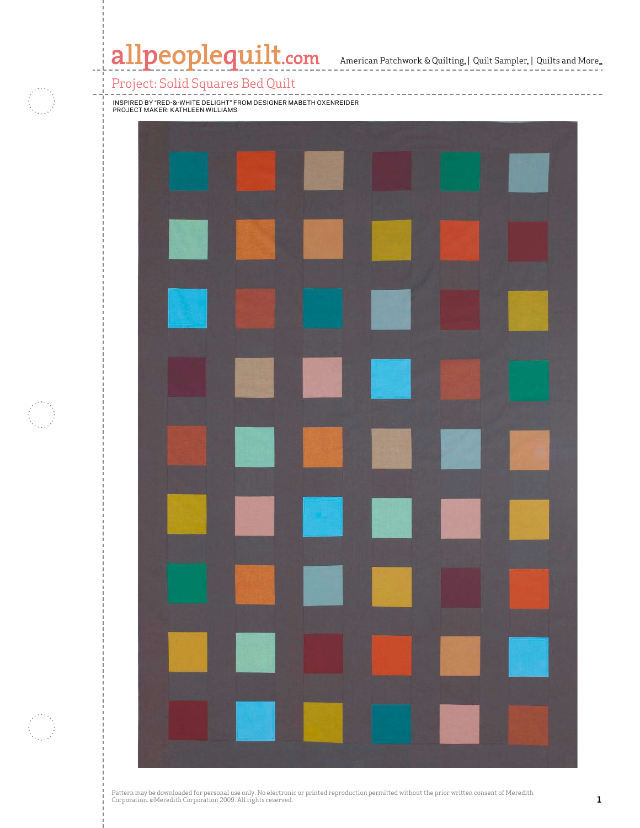## Project: Solid Squares Bed Quilt



 $\mathbb{R}$  and  $\mathbb{R}$  are particular in  $\mathbb{R}$  and  $\mathbb{R}$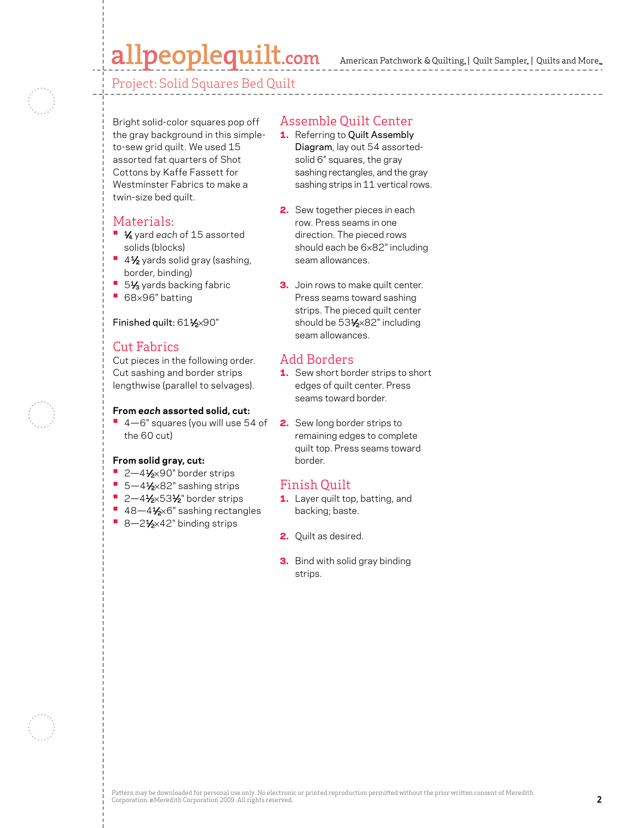# allpeoplequilt.com

American Patchwork & Quilting,  $|$  Quilt Sampler,  $|$  Quilts and More,

Project: Solid Squares Bed Quilt

Bright solid-color squares pop off the gray background in this simpleto-sew grid quilt. We used 15 assorted fat quarters of Shot Cottons by Kaffe Fassett for Westminster Fabrics to make a twin-size bed quilt.

#### Materials:

- **•**  1⁄4 yard *each* of 15 assorted solids (blocks)
- 4½ yards solid gray (sashing, border, binding)
- 51⁄<sub>3</sub> yards backing fabric
- **•**  <sup>68</sup>×96" batting

#### Finished quilt: 611/2×90"

#### Cut Fabrics

Cut pieces in the following order. Cut sashing and border strips lengthwise (parallel to selvages).

#### **From** *each* **assorted solid, cut:**

**•**  4—6" squares (you will use 54 of the 60 cut)

#### **From solid gray, cut:**

- 2-4½×90" border strips
- 5-4<sup>1</sup>⁄<sub>2×</sub>82" sashing strips
- **2-41/2×531/2**" border strips
- 48-4<sup>1</sup>⁄<sub>2</sub>×6" sashing rectangles
- 8-2½×42" binding strips

### Assemble Quilt Center

- 1. Referring to Quilt Assembly Diagram, lay out 54 assortedsolid 6" squares, the gray sashing rectangles, and the gray sashing strips in 11 vertical rows.
- 2. Sew together pieces in each row. Press seams in one direction. The pieced rows should each be 6×82" including seam allowances.
- **3.** Join rows to make quilt center. Press seams toward sashing strips. The pieced quilt center should be 53<sup>1</sup>/<sub>2</sub>×82" including seam allowances.

#### Add Borders

- 1. Sew short border strips to short edges of quilt center. Press seams toward border.
- 2. Sew long border strips to remaining edges to complete quilt top. Press seams toward border.

#### Finish Quilt

- 1. Layer quilt top, batting, and backing; baste.
- 2. Quilt as desired.
- **3.** Bind with solid gray binding strips.